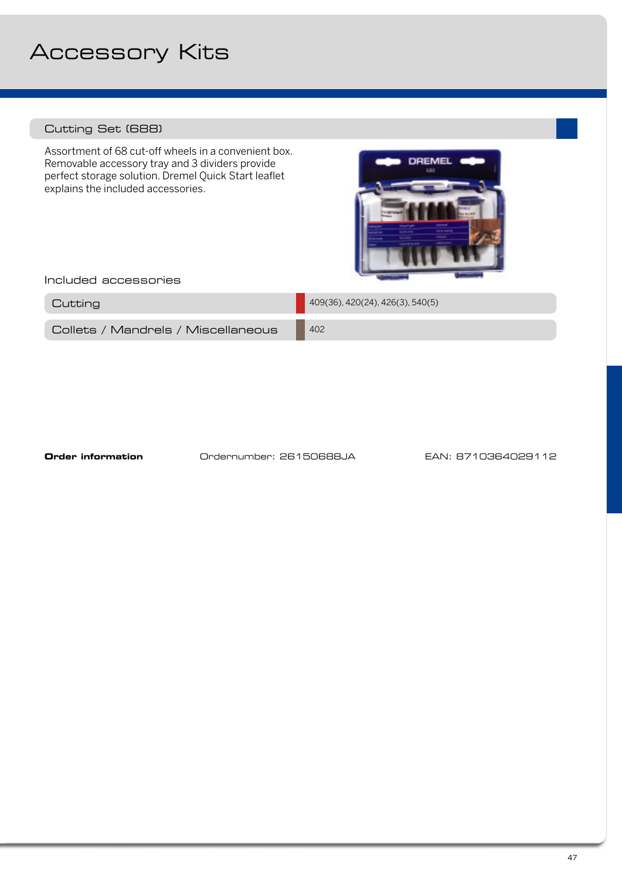## Accessory Kits

## Cutting Set (688)

Assortment of 68 cut-off wheels in a convenient box. Removable accessory tray and 3 dividers provide perfect storage solution. Dremel Quick Start leaflet explains the included accessories.



Included accessories

| Cutting                            | $1409(36)$ , 420(24), 426(3), 540(5) |
|------------------------------------|--------------------------------------|
| Collets / Mandrels / Miscellaneous | 402                                  |

**Order information Ordernumber: 26150688JA** EAN: 8710364029112